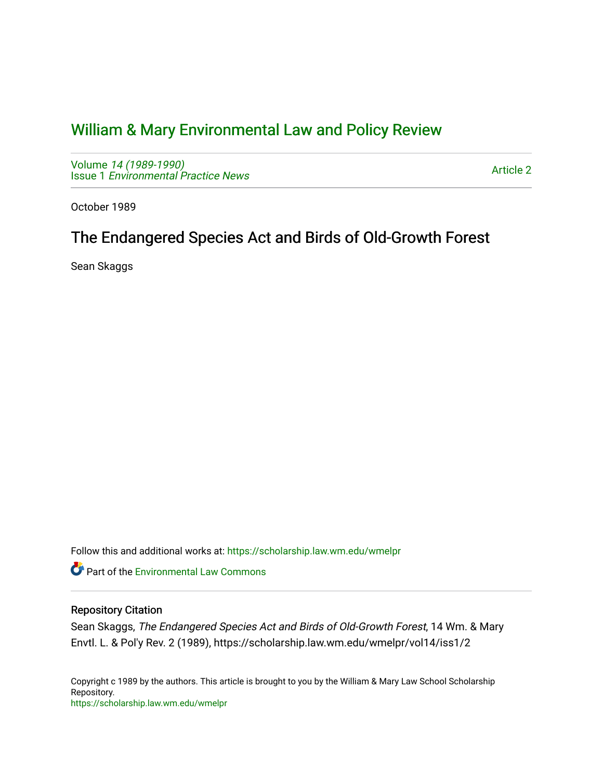# [William & Mary Environmental Law and Policy Review](https://scholarship.law.wm.edu/wmelpr)

Volume [14 \(1989-1990\)](https://scholarship.law.wm.edu/wmelpr/vol14)  Issue 1 [Environmental Practice News](https://scholarship.law.wm.edu/wmelpr/vol14/iss1) 

[Article 2](https://scholarship.law.wm.edu/wmelpr/vol14/iss1/2) 

October 1989

## The Endangered Species Act and Birds of Old-Growth Forest

Sean Skaggs

Follow this and additional works at: [https://scholarship.law.wm.edu/wmelpr](https://scholarship.law.wm.edu/wmelpr?utm_source=scholarship.law.wm.edu%2Fwmelpr%2Fvol14%2Fiss1%2F2&utm_medium=PDF&utm_campaign=PDFCoverPages)

**C** Part of the [Environmental Law Commons](http://network.bepress.com/hgg/discipline/599?utm_source=scholarship.law.wm.edu%2Fwmelpr%2Fvol14%2Fiss1%2F2&utm_medium=PDF&utm_campaign=PDFCoverPages)

### Repository Citation

Sean Skaggs, The Endangered Species Act and Birds of Old-Growth Forest, 14 Wm. & Mary Envtl. L. & Pol'y Rev. 2 (1989), https://scholarship.law.wm.edu/wmelpr/vol14/iss1/2

Copyright c 1989 by the authors. This article is brought to you by the William & Mary Law School Scholarship Repository. <https://scholarship.law.wm.edu/wmelpr>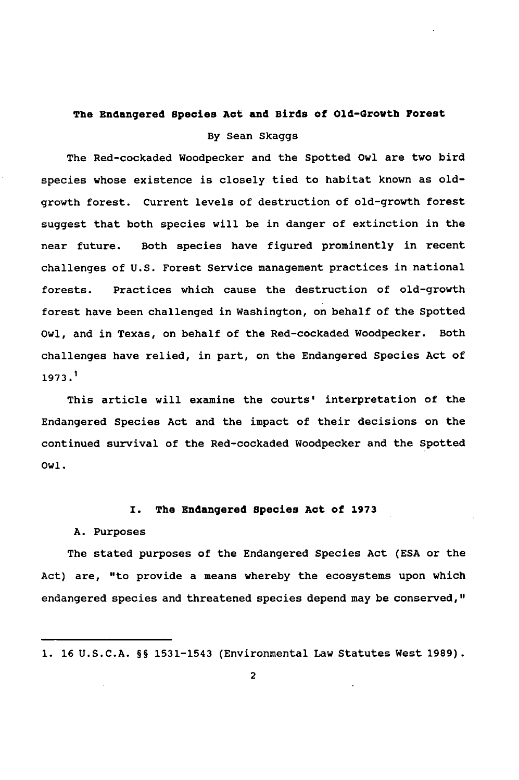### The Endangered Species Act and Birds of Old-Growth Forest By Sean Skaggs

The Red-cockaded Woodpecker and the Spotted Owl are two bird species whose existence is closely tied to habitat known as oldgrowth forest. Current levels of destruction of old-growth forest suggest that both species will be in danger of extinction in the near future. Both species have figured prominently in recent challenges of U.S. Forest Service management practices in national forests. Practices which cause the destruction of old-growth forest have been challenged in Washington, on behalf of the Spotted Owl, and in Texas, on behalf of the Red-cockaded Woodpecker. Both challenges have relied, in part, on the Endangered Species Act of 1973.1

This article will examine the courts' interpretation of the Endangered Species Act and the impact of their decisions on the continued survival of the Red-cockaded Woodpecker and the Spotted Owl.

#### I. The Endangered Species Act of **1973**

#### A. Purposes

The stated purposes of the Endangered Species Act (ESA or the Act) are, "to provide a means whereby the ecosystems upon which endangered species and threatened species depend may be conserved,"

**<sup>1.</sup>** 16 U.S.C.A. §§ 1531-1543 (Environmental Law Statutes West 1989).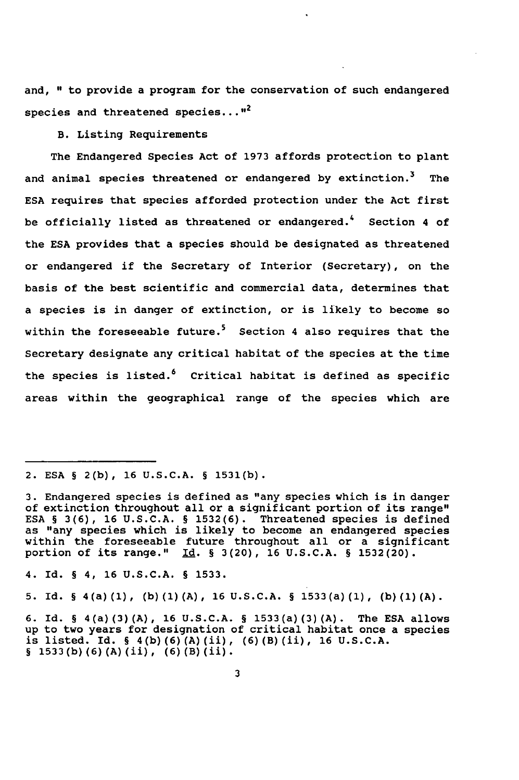and, " to provide a program for the conservation of such endangered species and threatened species... $"$ 

B. Listing Requirements

The Endangered Species Act of 1973 affords protection to plant and animal species threatened or endangered by extinction.<sup>3</sup> The ESA requires that species afforded protection under the Act first be officially listed as threatened or endangered.<sup>4</sup> Section 4 of the ESA provides that a species should be designated as threatened or endangered if the Secretary of Interior (Secretary), on the basis of the best scientific and commercial data, determines that a species is in danger of extinction, or is likely to become so within the foreseeable future.<sup>5</sup> Section 4 also requires that the Secretary designate any critical habitat of the species at the time the species is listed. $6$  Critical habitat is defined as specific areas within the geographical range of the species which are

4. Id. § 4, 16 U.S.C.A. § 1533.

5. Id. § 4(a)(1), (b)(1)(A), 16 U.S.C.A. § 1533(a)(1), **(b)(1)(A).**

<sup>2.</sup> **ESA** § **2(b),** 16 U.S.C.A. § 1531(b).

**<sup>3.</sup>** Endangered species is defined as "any species which is in danger of extinction throughout all or a significant portion of its range" ESA § 3(6), 16 U.S.C.A. § 1532(6). Threatened species is defined as "any species which is likely to become an endangered species within the foreseeable future throughout all or a significant portion of its range." **Id.** § **3(20),** 16 U.S.C.A. § 1532(20).

<sup>6.</sup> Id. § 4(a)(3)(A), 16 U.S.C.A. § 1533(a)(3)(A). The **ESA** allows up to two years for designation of critical habitat once a species is listed. Id. § 4(b)(6)(A)(ii), (6)(B)(ii), 16 U.S.C.A. § 1533(b)(6)(A)(ii), (6)(B)(ii).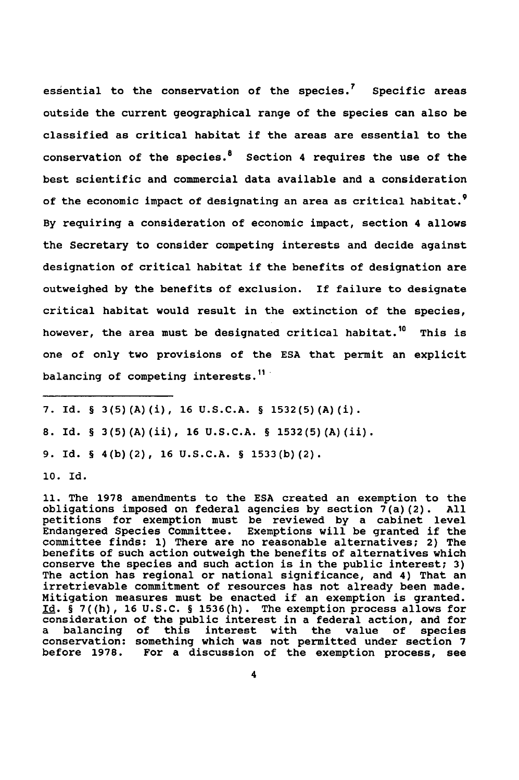essential to the conservation of the species.<sup>7</sup> Specific areas outside the current geographical range of the species can also be classified as critical habitat if the areas are essential to the conservation of the species. $8$  Section 4 requires the use of the best scientific and commercial data available and a consideration of the economic impact of designating an area as critical habitat.<sup>9</sup> By requiring a consideration of economic impact, section 4 allows the Secretary to consider competing interests and decide against designation of critical habitat if the benefits of designation are outweighed by the benefits of exclusion. If failure to designate critical habitat would result in the extinction of the species, however, the area must be designated critical habitat.<sup>10</sup> This is one of only two provisions of the ESA that permit an explicit balancing of competing interests.<sup>11</sup>

**8.** Id. § 3(5)(A)(ii), **16 U.S.C.A.** § 1532(5)(A)(ii).

9. Id. § 4(b)(2), 16 U.S.C.A. § 1533(b) **(2).**

**10.** Id.

**11.** The 1978 amendments to the ESA created an exemption to the obligations imposed on federal agencies by section  $\bar{7}$ (a)(2). All petitions for exemption must be reviewed by a cabinet level Endangered Species Committee. Exemptions will be granted if the committee finds: **1)** There are no reasonable alternatives; 2) The benefits of such action outweigh the benefits of alternatives which conserve the species and such action is in the public interest; **3)** The action has regional or national significance, and 4) That an irretrievable commitment of resources has not already been made. Mitigation measures must be enacted if an exemption is granted. Id. § 7((h), 16 U.S.C. § 1536(h). The exemption process allows for consideration of the public interest in a federal action, and for<br>a balancing of this interest with the value of species conservation: something which was not permitted under section 7 before 1978. For a discussion of the exemption process, see

**<sup>7.</sup>** Id. § 3(5)(A)(i), **16 U.S.C.A.** § 1532(5) (A) (i).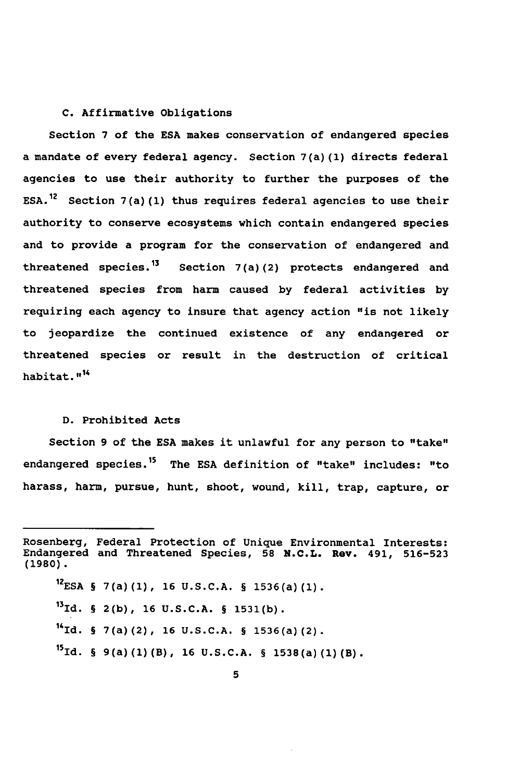#### **C.** Affirmative Obligations

Section **7** of the **ESA** makes conservation of endangered species a mandate of every federal agency. Section 7(a) **(1)** directs federal agencies to use their authority to further the purposes of the **ESA.12** Section 7(a)(1) thus requires federal agencies to use their authority to conserve ecosystems which contain endangered species and to provide a program for the conservation of endangered and threatened species.<sup>13</sup> Section 7(a)(2) protects endangered and threatened species from harm caused **by** federal activities **by** requiring each agency to insure that agency action "is not likely to jeopardize the continued existence of any endangered or threatened species or result in the destruction of critical **habitat. . 114**

#### **D.** Prohibited Acts

Section **9** of the **ESA** makes it unlawful for any person to "take" endangered species.15 The **ESA** definition of "take" includes: "to harass, harm, pursue, hunt, shoot, wound, kill, trap, capture, or

**12 ESA** § 7(a)(1), **16 U.S.C.A.** § 1536(a)(1). **131d.** § **2(b), 16 U.S.C.A.** § **1531(b).** 14Id. § 7(a)(2), **16 U.S.C.A.** § 1536(a) (2). **15 Id.** § 9(a)(1)(B), 16 U.S.C.A. § 1538(a)(1)(B).

Rosenberg, Federal Protection of Unique Environmental Interests: Endangered and Threatened Species, **58 N.C.L. Rev.** 491, **516-523 (1980).**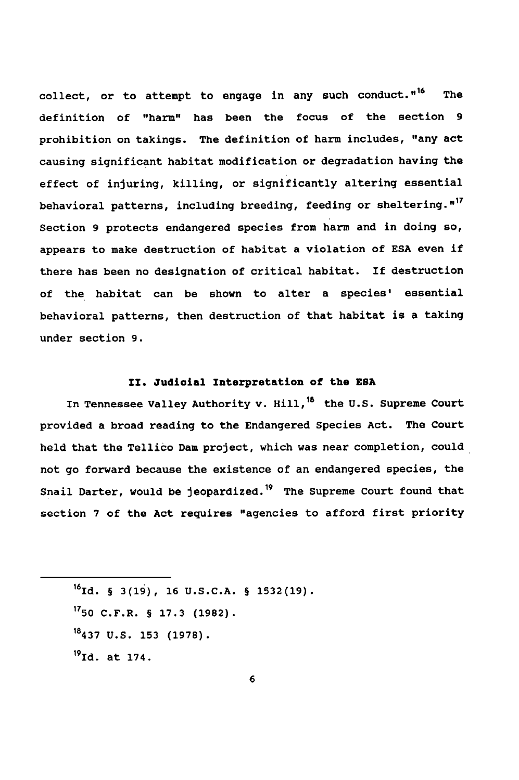collect, or to attempt to engage in any such conduct."<sup>16</sup> The definition of "harm" has been the focus of the section **9** prohibition on takings. The definition of harm includes, "any act causing significant habitat modification or degradation having the effect of injuring, killing, or significantly altering essential behavioral patterns, including breeding, feeding or sheltering."<sup>17</sup> Section **9** protects endangered species from harm and in doing so, appears to make destruction of habitat a violation of **ESA** even if there has been no designation of critical habitat. If destruction of the habitat can be shown to alter a species' essential behavioral patterns, then destruction of that habitat is a taking under section **9.**

#### **II.** Judicial Interpretation **of** the **ESA**

In Tennessee Valley Authority v. Hill,<sup>18</sup> the U.S. Supreme Court provided a broad reading to the Endangered Species Act. The Court held that the Tellico Dam project, which was near completion, could not go forward because the existence of an endangered species, the Snail Darter, would be jeopardized.<sup>19</sup> The Supreme Court found that section **7** of the Act requires "agencies to afford first priority

**19 Id.** at 174.

**<sup>16</sup>**Id. § **3(19), 16 U.S.C.A.** § **1532(19).**

**<sup>1750</sup>** C.F.R. § **17.3 (1982).**

**<sup>18437</sup> U.S. 153 (1978).**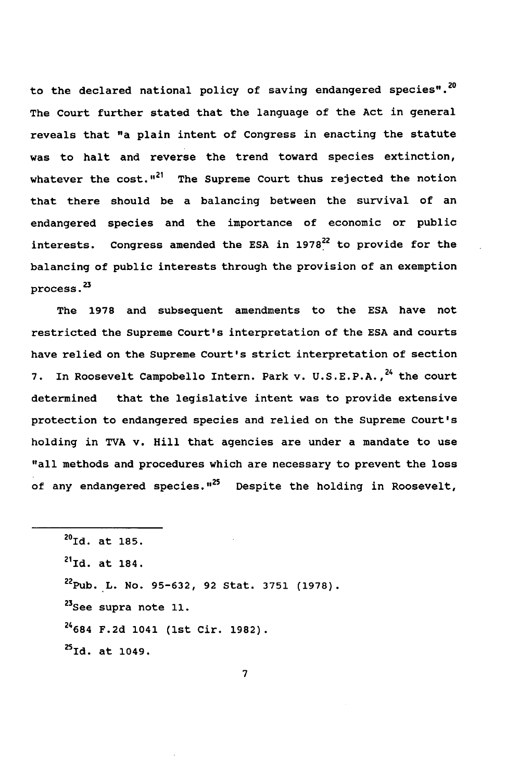to the declared national policy of saving endangered species".<sup>20</sup> The Court further stated that the language of the Act in general reveals that "a plain intent of Congress in enacting the statute was to halt and reverse the trend toward species extinction, whatever the cost."<sup>21</sup> The Supreme Court thus rejected the notion that there should be a balancing between the survival of an endangered species and the importance of economic or public interests. Congress amended the ESA in  $1978^{22}$  to provide for the balancing of public interests through the provision of an exemption process.<sup>23</sup>

The 1978 and subsequent amendments to the ESA have not restricted the Supreme Court's interpretation of the ESA and courts have relied on the Supreme Court's strict interpretation of section 7. In Roosevelt Campobello Intern. Park v. U.S.E.P.A.,<sup>24</sup> the court determined that the legislative intent was to provide extensive protection to endangered species and relied on the Supreme Court's holding in TVA v. Hill that agencies are under a mandate to use "all methods and procedures which are necessary to prevent the loss of any endangered species."<sup>25</sup> Despite the holding in Roosevelt,

 $^{20}$ Id. at 185.  $^{21}$ Id. at 184. Pub.L. No. 95-632, 92 Stat. 3751 (1978). **See** supra note **11.** F.2d 1041 (1st Cir. 1982). **Id.** at 1049.

7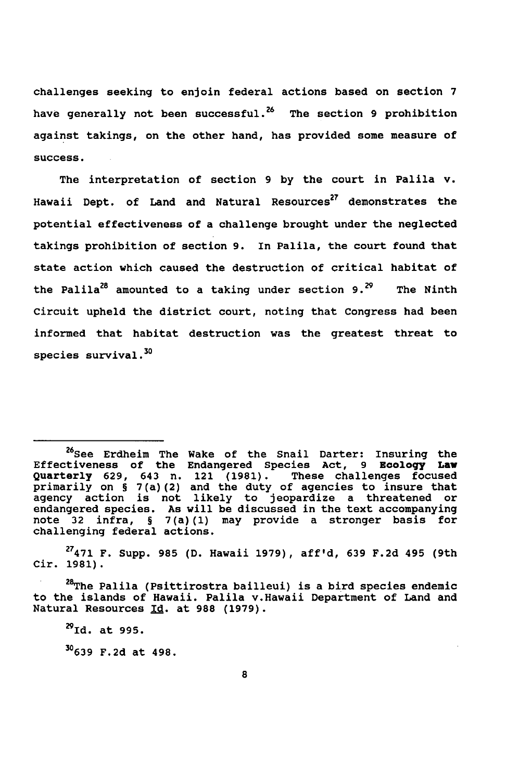challenges seeking to enjoin federal actions based on section **7** have generally not been successful.26 The section **9** prohibition against takings, on the other hand, has provided some measure of success.

The interpretation of section **9 by** the court in Palila **v.** Hawaii Dept. of Land and Natural Resources<sup>27</sup> demonstrates the potential effectiveness of a challenge brought under the neglected takings prohibition of section **9.** In Palila, the court found that state action which caused the destruction of critical habitat of the Palila<sup>28</sup> amounted to a taking under section 9.<sup>29</sup> The Ninth Circuit upheld the district court, noting that Congress had been informed that habitat destruction was the greatest threat to species survival. $^{\bf 30}$ 

**<sup>27471</sup>**F. Supp. 985 (D. Hawaii 1979), aff'd, 639 F.2d 495 (9th Cir. 1981).

<sup>28</sup>The Palila (Psittirostra bailleui) is a bird species endemic to the islands of Hawaii. Palila v.Hawaii Department of Land and Natural Resources **Id.** at 988 (1979).

 $^{29}$ Id. at 995. **30639** F.2d at 498.

<sup>&</sup>lt;sup>26</sup>See Erdheim The Wake of the Snail Darter: Insuring the Effectiveness of the Endangered Species Act, 9 Zoology **Law** Quarterly 629, 643 n. 121 (1981). These challenges focused primarily on § 7(a)(2) and the duty of agencies to insure that agency action is not likely to jeopardize a threatened or endangered species. As will be discussed in the text accompanying note 32 infra, § 7(a)(1) may provide a stronger basis for challenging federal actions.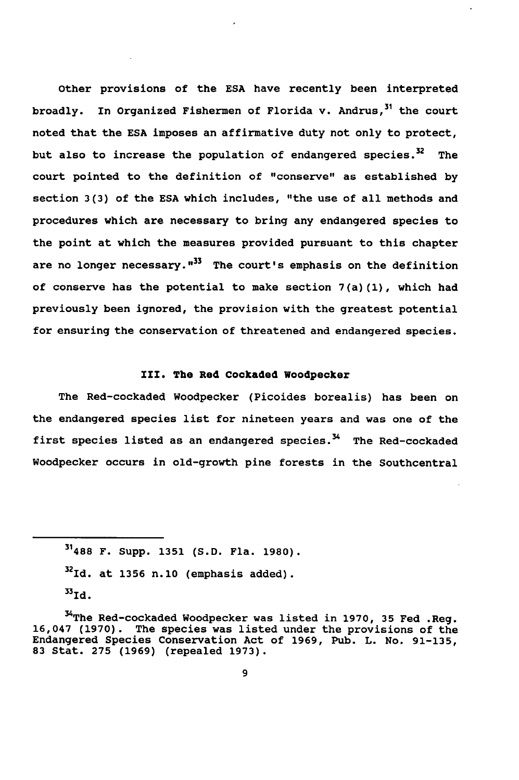Other provisions of the **ESA** have recently been interpreted broadly. In Organized Fishermen of Florida v. Andrus,<sup>31</sup> the court noted that the **ESA** imposes an affirmative duty not only to protect, but also to increase the population of endangered species.<sup>32</sup> The court pointed to the definition of "conserve" as established **by** section **3(3)** of the **ESA** which includes, "the use of all methods and procedures which are necessary to bring any endangered species to the point at which the measures provided pursuant to this chapter are no longer necessary."<sup>33</sup> The court's emphasis on the definition of conserve has the potential to make section  $7(a)(1)$ , which had previously been ignored, the provision with the greatest potential for ensuring the conservation of threatened and endangered species.

#### **III.** The Red Cockaded Woodpecker

The Red-cockaded Woodpecker (Picoides borealis) has been on the endangered species list for nineteen years and was one of the first species listed as an endangered species.<sup>34</sup> The Red-cockaded Woodpecker occurs in old-growth pine forests in the Southcentral

**<sup>31488</sup>** F. Supp. **1351 (S.D.** Fla. **1980). 32 Id.** at **1356** n.10 (emphasis added). **33 Id.**

<sup>34</sup> The Red-cockaded Woodpecker was listed in **1970, 35** Fed .Reg. 16,047 **(1970).** The species was listed under the provisions of the Endangered Species Conservation Act of **1969,** Pub. L. No. **91-135, 83** Stat. **275 (1969)** (repealed **1973).**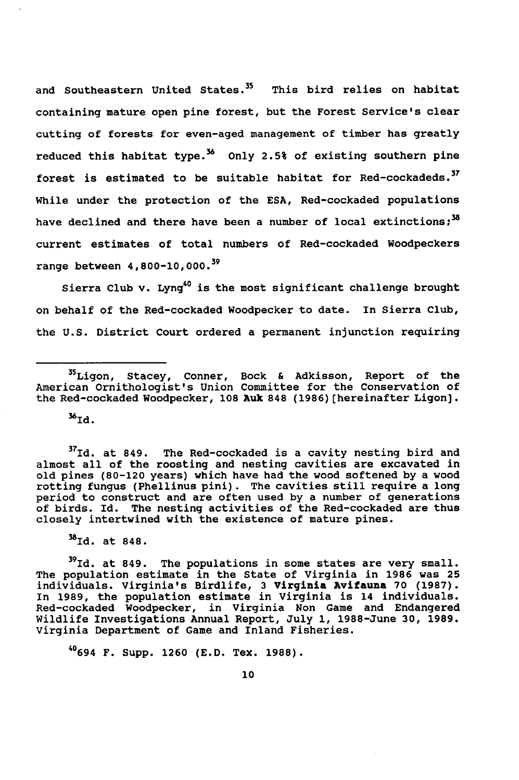and Southeastern United States.<sup>35</sup> This bird relies on habitat containing mature open pine forest, but the Forest Service's clear cutting of forests for even-aged management of timber has greatly reduced this habitat type.<sup>36</sup> Only 2.5% of existing southern pine forest is estimated to be suitable habitat for Red-cockadeds.<sup>37</sup> While under the protection of the **ESA,** Red-cockaded populations have declined and there have been a number of local extinctions;<sup>38</sup> current estimates of total numbers of Red-cockaded Woodpeckers range between 4,800-10,000. <sup>39</sup>

Sierra Club v. Lyng<sup>40</sup> is the most significant challenge brought on behalf of the Red-cockaded Woodpecker to date. In Sierra Club, the **U.S.** District Court ordered a permanent injunction requiring

 $36$ Id.

**37 Id.** at 849. The Red-cockaded is a cavity nesting bird and almost all of the roosting and nesting cavities are excavated in old pines **(80-120** years) which have had the wood softened **by** a wood rotting fungus (Phellinus pini). The cavities still require a long period to construct and are often used **by** a number of generations of birds. Id. The nesting activities of the Red-cockaded are thus closely intertwined with the existence of mature pines.

MId. at **848.**

**39Id.** at 849. The populations in some states are very small. The population estimate in the State of Virginia in **1986** was **25** individuals. Virginia's Birdlife, **3** Virginia Avifauna **70 (1987).** In **1989,** the population estimate in Virginia is 14 individuals. Red-cockaded Woodpecker, in Virginia Non Game and Endangered Wildlife Investigations Annual Report, July **1,** 1988-June **30, 1989.** Virginia Department of Game and Inland Fisheries.

40694 F. Supp. 1260 **(E.D.** Tex. **1988).**

<sup>35</sup>Ligon, Stacey, Conner, Bock **&** Adkisson, Report of the American Ornithologist's Union Committee for the Conservation of the Red-cockaded Woodpecker, **108 Auk 848 (1986)** (hereinafter Ligon].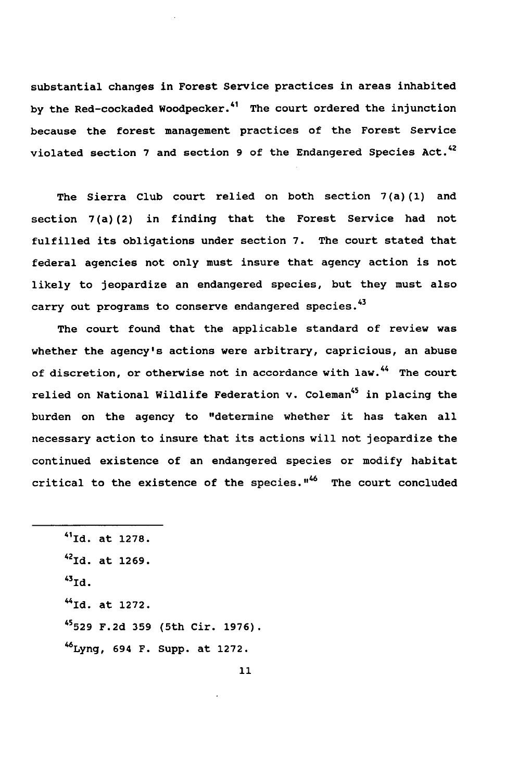substantial changes in Forest Service practices in areas inhabited **by** the Red-cockaded Woodpecker.41 The court ordered the injunction because the forest management practices of the Forest Service violated section **7** and section **9** of the Endangered Species Act.42

The Sierra Club court relied on both section **7(a)(1)** and section 7(a)(2) in finding that the Forest Service had not fulfilled its obligations under section **7.** The court stated that federal agencies not only must insure that agency action is not likely to jeopardize an endangered species, but they must also carry out programs to conserve endangered species.<sup>43</sup>

The court found that the applicable standard of review was whether the agency's actions were arbitrary, capricious, an abuse of discretion, or otherwise not in accordance with law.<sup>44</sup> The court relied on National Wildlife Federation v. Coleman<sup>45</sup> in placing the burden on the agency to "determine whether it has taken all necessary action to insure that its actions will not jeopardize the continued existence of an endangered species or modify habitat critical to the existence of the species."<sup>46</sup> The court concluded

41Id. at **1278. 42Id.** at **1269.**  $^{43}$ Id. **"** Id. at **1272. 45529 F.2d 359** (5th Cir. **1976).** 6Lyng, 694 F. Supp. at **1272.**

11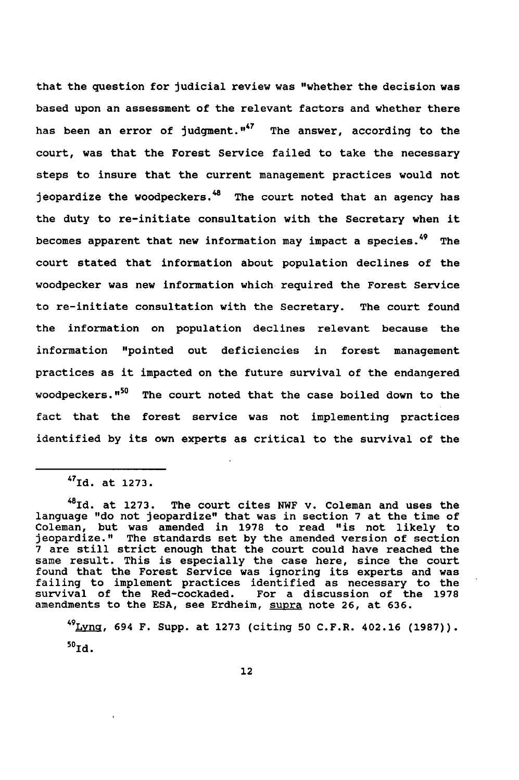that the question for judicial review was "whether the decision was based upon an assessment of the relevant factors and whether there has been an error of judgment. $"$  The answer, according to the court, was that the Forest Service failed to take the necessary steps to insure that the current management practices would not jeopardize the woodpeckers.<sup>48</sup> The court noted that an agency has the duty to re-initiate consultation with the Secretary when it becomes apparent that new information may impact a species.<sup>49</sup> The court stated that information about population declines of the woodpecker was new information which required the Forest Service to re-initiate consultation with the Secretary. The court found the information on population declines relevant because the information "pointed out deficiencies in forest management practices as it impacted on the future survival of the endangered woodpeckers."<sup>50</sup> The court noted that the case boiled down to the fact that the forest service was not implementing practices identified **by** its own experts as critical to the survival of the

**49 Lya,** 694 F. Supp. at **1273** (citing **50** C.F.R. 402.16 **(1987)).** 50<sub>та.</sub>

<sup>47</sup> Id. at **1273.**

<sup>4</sup> 8 Id. at **1273.** The court cites NWF v. Coleman and uses the language "do not jeopardize" that was in section **7** at the time of Coleman, but was amended in **1978** to read "is not likely to jeopardize." The standards set **by** the amended version of section **7** are still strict enough that the court could have reached the same result. This is especially the case here, since the court found that the Forest Service was ignoring its experts and was failing to implement practices identified as necessary to the survival of the Red-cockaded. For a discussion of the **1978** amendments to the **ESA,** see Erdheim, supra note **26,** at **636.**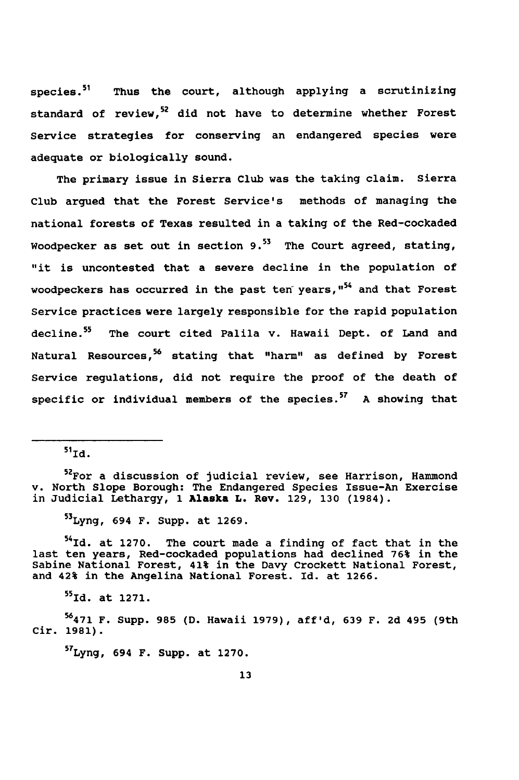species.<sup>51</sup> Thus the court, although applying a scrutinizing standard of review,<sup>52</sup> did not have to determine whether Forest Service strategies for conserving an endangered species were adequate or biologically sound.

The primary issue in Sierra Club was the taking claim. Sierra Club argued that the Forest Service's methods of managing the national forests of Texas resulted in a taking of the Red-cockaded Woodpecker as set out in section **9.53** The Court agreed, stating, "it is uncontested that a severe decline in the population of woodpeckers has occurred in the past ten years, "<sup>54</sup> and that Forest Service practices were largely responsible for the rapid population decline.<sup>55</sup> The court cited Palila v. Hawaii Dept. of Land and Natural Resources,56 stating that "harm" as defined **by** Forest Service regulations, did not require the proof of the death of specific or individual members of the species.57 **A** showing that

 $51$ <sup>1</sup> $d$ .

**52For** a discussion of judicial review, see Harrison, Hammond v. North Slope Borough: The Endangered Species Issue-An Exercise in Judicial Lethargy, **1 Alaska L. Rev. 129, 130** (1984).

53 Lyng, 694 F. Supp. at **1269.**

54Id. at **1270.** The court made a finding of fact that in the last ten years, Red-cockaded populations had declined **76%** in the Sabine National Forest, 41% in the Davy Crockett National Forest, and 42% in the Angelina National Forest. Id. at **1266.**

**55 Id.** at **1271.**

**56471** F. Supp. **985 (D.** Hawaii **1979), aff'd, 639** F. **2d** 495 (9th Cir. **1981).**

5T Lyng, 694 F. Supp. at **1270.**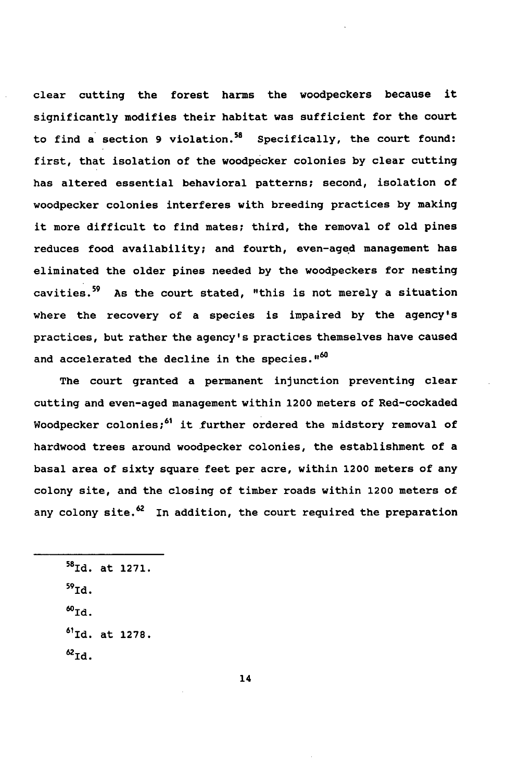clear cutting the forest harms the woodpeckers because it significantly modifies their habitat was sufficient for the court to find a section **9** violation.58 Specifically, the court found: first, that isolation of the woodpecker colonies **by** clear cutting has altered essential behavioral patterns; second, isolation of woodpecker colonies interferes with breeding practices **by** making it more difficult to find mates; third, the removal of old pines reduces food availability; and fourth, even-aged management has eliminated the older pines needed **by** the woodpeckers for nesting cavities.59 As the court stated, "this is not merely a situation where the recovery of a species is impaired **by** the agency's practices, but rather the agency's practices themselves have caused and accelerated the decline in the species."<sup>60</sup>

The court granted a permanent injunction preventing clear cutting and even-aged management within 1200 meters of Red-cockaded Woodpecker colonies;<sup>61</sup> it further ordered the midstory removal of hardwood trees around woodpecker colonies, the establishment of a basal area of sixty square feet per acre, within 1200 meters of any colony site, and the closing of timber roads within 1200 meters of any colony site. $^{62}$  In addition, the court required the preparation

**58Id.** at **1271.** 59<sub>ТМ.</sub> **60 Id. 61Id.** at **1278. 62 id.**

14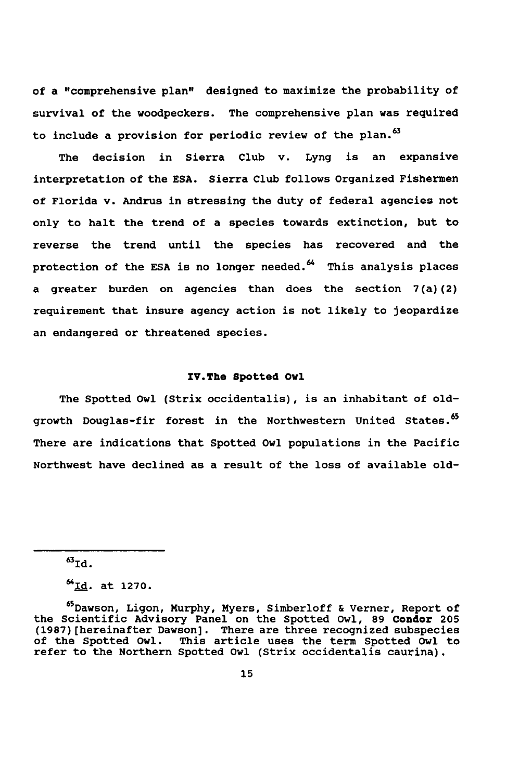of a "comprehensive plan" designed to maximize the probability of survival of the woodpeckers. The comprehensive plan was required to include a provision for periodic review of the plan.<sup>63</sup>

The decision in Sierra Club v. Lyng is an expansive interpretation of the **ESA.** Sierra Club follows Organized Fishermen of Florida v. Andrus in stressing the duty of federal agencies not only to halt the trend of a species towards extinction, but to reverse the trend until the species has recovered and the protection of the ESA is no longer needed.<sup>64</sup> This analysis places a greater burden on agencies than does the section 7(a) (2) requirement that insure agency action is not likely to jeopardize an endangered or threatened species.

#### IV.The Spotted **Owl**

The Spotted Owl (Strix occidentalis), is an inhabitant of oldgrowth Douglas-fir forest in the Northwestern United States.<sup>65</sup> There are indications that Spotted Owl populations in the Pacific Northwest have declined as a result of the loss of available old-

 $^{63}$ Id.

**<sup>64;</sup>d.** at **1270.**

<sup>65</sup> Dawson, Ligon, Murphy, Myers, Simberloff **&** Verner, Report of the Scientific Advisory Panel on the Spotted Owl, **89** Condor **205 (1987)** (hereinafter Dawson]. There are three recognized subspecies of the Spotted Owl. This article uses the term Spotted Owl to refer to the Northern Spotted Owl (Strix occidentalis caurina).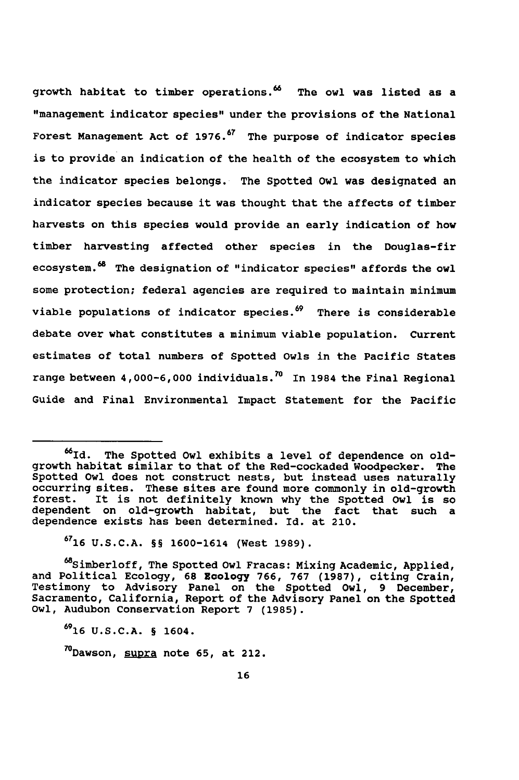growth habitat to timber operations.<sup>66</sup> The owl was listed as a "management indicator species" under the provisions of the National Forest Management Act of **1976.67** The purpose of indicator species is to provide an indication of the health of the ecosystem to which the indicator species belongs. The Spotted Owl was designated an indicator species because it was thought that the affects of timber harvests on this species would provide an early indication of how timber harvesting affected other species in the Douglas-fir ecosystem.<sup>68</sup> The designation of "indicator species" affords the owl some protection; federal agencies are required to maintain minimum viable populations of indicator species.<sup>69</sup> There is considerable debate over what constitutes a minimum viable population. Current estimates of total numbers of Spotted Owls in the Pacific States range between 4,000-6,000 individuals.<sup>70</sup> In 1984 the Final Regional Guide and Final Environmental Impact Statement for the Pacific

<sup>&</sup>lt;sup>66</sup>Id. The Spotted Owl exhibits a level of dependence on oldgrowth habitat similar to that of the Red-cockaded Woodpecker. The Spotted Owl does not construct nests, but instead uses naturally occurring sites. These sites are found more commonly in old-growth forest. It is not definitely known why the Spotted Owl is so dependent on old-growth habitat, but the fact that such a dependence exists has been determined. Id. at 210.

**<sup>6716</sup> U.S.C.A.** §§ 1600-1614 (West **1989).**

<sup>68</sup>Simberloff, The Spotted Owl Fracas: Mixing Academic, Applied, and Political Ecology, **68** Ecology **766, 767 (1987),** citing Crain, Testimony to Advisory Panel on the Spotted Owl, **9** December, Sacramento, California, Report of the Advisory Panel on the Spotted Owl, Audubon Conservation Report **7 (1985).**

**<sup>6916</sup> U.S.C.A.** § 1604.

<sup>70</sup> Dawson, **supra** note **65,** at 212.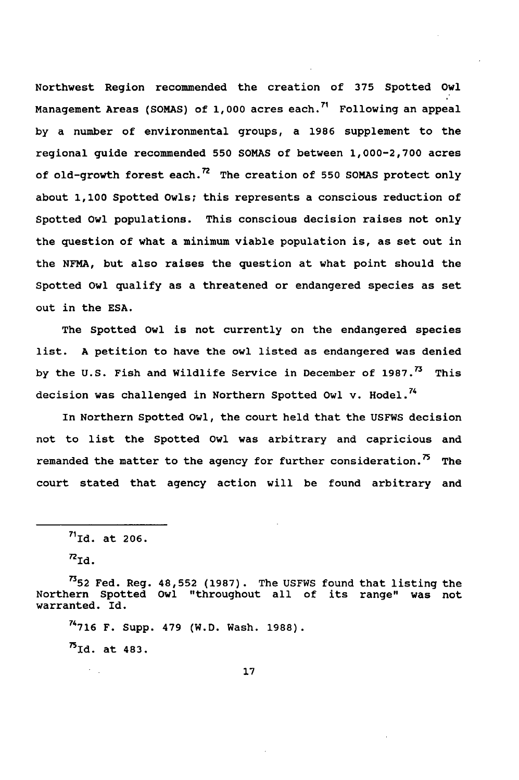Northwest Region recommended the creation of **375** Spotted Owl Management Areas (SOMAS) of 1,000 acres each.<sup>71</sup> Following an appeal by a number of environmental groups, a 1986 supplement to the regional guide recommended 550 SOMAS of between 1,000-2,700 acres of old-growth forest each.<sup>72</sup> The creation of 550 SOMAS protect only about **1,100** Spotted Owls; this represents a conscious reduction of Spotted Owl populations. This conscious decision raises not only the question of what a minimum viable population is, as set out in the NFMA, but also raises the question at what point should the Spotted Owl qualify as a threatened or endangered species as set out in the ESA.

The Spotted Owl is not currently on the endangered species list. A petition to have the owl listed as endangered was denied by the U.S. Fish and Wildlife Service in December of  $1987.^{73}$  This decision was challenged in Northern Spotted Owl v. Hodel.<sup>74</sup>

In Northern Spotted Owl, the court held that the USFWS decision not to list the Spotted Owl was arbitrary and capricious and remanded the matter to the agency for further consideration.<sup>75</sup> The court stated that agency action will be found arbitrary and

 $5\pi$ Id. at 483.

**<sup>71</sup> Id.** at 206.

 $n_{\texttt{Id}}$ .

**<sup>752</sup>** Fed. Reg. 48,552 (1987). The USFWS found that listing the Northern Spotted Owl "throughout all of its range" was not warranted. Id.

**<sup>74716</sup>**F. Supp. 479 (W.D. Wash. 1988).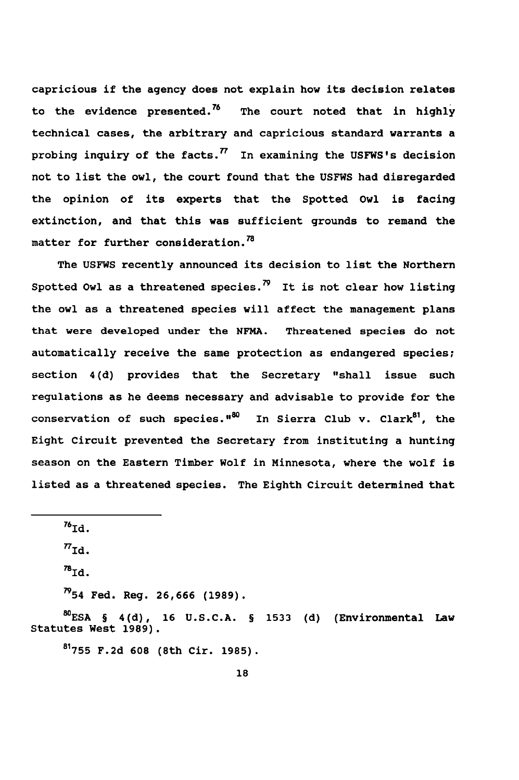capricious if the agency does not explain how its decision relates to the evidence presented.7 ' The court noted that in **highly** technical cases, the arbitrary and capricious standard warrants a probing inquiry of the facts. **7** In examining the USFWS's decision not to list the owl, the court found that the **USFWS** had disregarded the opinion of its experts that the Spotted Owl is facing extinction, and that this was sufficient grounds to remand the matter for further consideration.<sup>78</sup>

The **USFWS** recently announced its decision to list the Northern Spotted Owl as a threatened species.<sup>79</sup> It is not clear how listing the owl as a threatened species will affect the management plans that were developed under the **NFMA.** Threatened species do not automatically receive the same protection as endangered species; section 4(d) provides that the Secretary "shall issue such regulations as he deems necessary and advisable to provide for the conservation of such species."<sup>80</sup> In Sierra Club v. Clark<sup>81</sup>, the Eight Circuit prevented the Secretary from instituting a hunting season on the Eastern Timber Wolf in Minnesota, where the wolf is listed as a threatened species. The Eighth Circuit determined that

—<br><sup>76</sup>та. **7'7 id.**

 $^{78}$ Id.

 $^{79}$ 54 Fed. Reg. 26,666 (1989).

**MESA** § 4(d), **16 U.S.C.A.** § **1533 (d)** (Environmental Law Statutes West **1989).**

**81755 F.2d 608** (8th Cir. **1985).**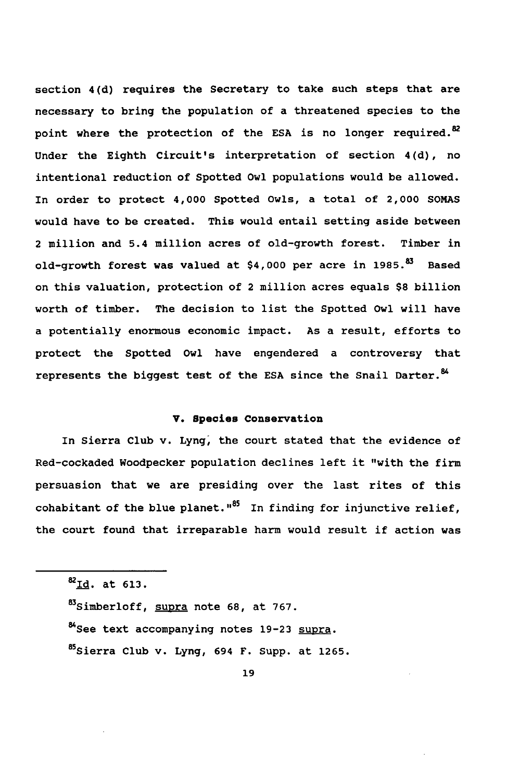section 4(d) requires the Secretary to take such steps that are necessary to bring the population of a threatened species to the point where the protection of the ESA is no longer required.<sup>82</sup> Under the Eighth Circuit's interpretation of section 4(d), no intentional reduction of Spotted Owl populations would be allowed. In order to protect 4,000 Spotted Owls, a total of 2,000 **SOMAS** would have to be created. This would entail setting aside between 2 million and 5.4 million acres of old-growth forest. Timber in old-growth forest was valued at \$4,000 per acre in **1985.8** Based on this valuation, protection of 2 million acres equals **\$8** billion worth of timber. The decision to list the Spotted Owl will have a potentially enormous economic impact. As a result, efforts to protect the Spotted Owl have engendered a controversy that represents the biggest test of the ESA since the Snail Darter.<sup>84</sup>

#### V. Species Conservation

In Sierra Club v. Lyng, the court stated that the evidence of Red-cockaded Woodpecker population declines left it "with the firm persuasion that we are presiding over the last rites of this cohabitant of the blue planet." $85$  In finding for injunctive relief, the court found that irreparable harm would result if action was

8Id. at **613.** 8Simberloff, supra note **68,** at **767.** 84 See text accompanying notes **19-23** supra. 85 Sierra Club v. Lyng, 694 F. Supp. at **1265.**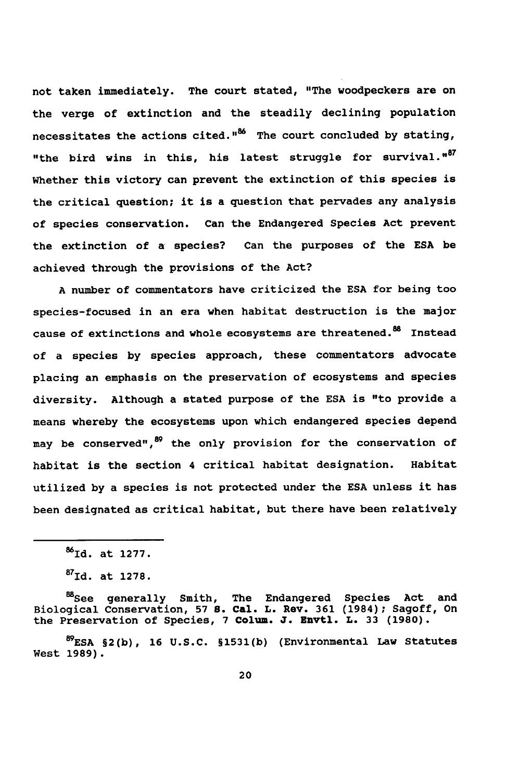not taken immediately. The court stated, "The woodpeckers are on the verge of extinction and the steadily declining population necessitates the actions cited."86 The court concluded **by** stating, "the bird wins in this, his latest struggle for survival."<sup>87</sup> Whether this victory can prevent the extinction of this species is the critical question; it is a question that pervades any analysis of species conservation. Can the Endangered Species Act prevent the extinction of a species? Can the purposes of the **ESA** be achieved through the provisions of the Act?

**A** number of commentators have criticized the **ESA** for being too species-focused in an era when habitat destruction is the major cause of extinctions and whole ecosystems are threatened.<sup>88</sup> Instead of a species **by** species approach, these commentators advocate placing an emphasis on the preservation of ecosystems and species diversity. Although a stated purpose of the **ESA** is "to provide a means whereby the ecosystems upon which endangered species depend may be conserved", <sup>89</sup> the only provision for the conservation of habitat is the section 4 critical habitat designation. Habitat utilized **by** a species is not protected under the **ESA** unless it has been designated as critical habitat, but there have been relatively

<sup>88</sup>cee generally Smith, The Endangered Species Act and Biological Conservation, **57 5.** Cal. L. Rev. **361** (1984); Sagoff, On the Preservation of Species, **7** Colum. **J.** Envtl. L. **33 (1980).**

**89 ESA §2(b), 16 U.S.C. §1531(b)** (Environmental Law Statutes West **1989).**

**<sup>8</sup>Id.** at **1277.**

**<sup>87</sup>Id.** at **1278.**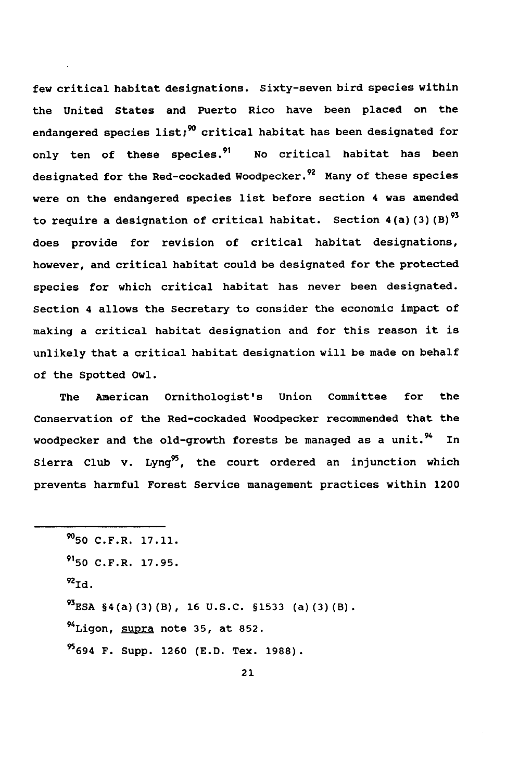few critical habitat designations. Sixty-seven bird species within the United States and Puerto Rico have been placed on the endangered species list;<sup>90</sup> critical habitat has been designated for only ten of these species.<sup>91</sup> No critical habitat has been designated for the Red-cockaded Woodpecker.<sup>92</sup> Many of these species were on the endangered species list before section 4 was amended to require a designation of critical habitat. Section 4(a) (3) **(B)93** does provide for revision of critical habitat designations, however, and critical habitat could be designated for the protected species for which critical habitat has never been designated. Section 4 allows the Secretary to consider the economic impact of making a critical habitat designation and for this reason it is unlikely that a critical habitat designation will be made on behalf of the Spotted Owl.

The American Ornithologist's Union Committee for the Conservation of the Red-cockaded Woodpecker recommended that the woodpecker and the old-growth forests be managed as a unit.  $^{94}$  In Sierra Club v. Lyng<sup>95</sup>, the court ordered an injunction which prevents harmful Forest Service management practices within 1200

**<sup>950</sup>** C.F.R. 17.11.  $^{91}$ 50 C.F.R. 17.95. ,<br><sup>92</sup>тժ **93 ESA** §4(a) (3) (B), 16 U.S.C. §1533 (a)(3)(B). <sup>94</sup>Ligon, supra note 35, at 852. <sup>95</sup>694 F. Supp. 1260 (E.D. Tex. 1988).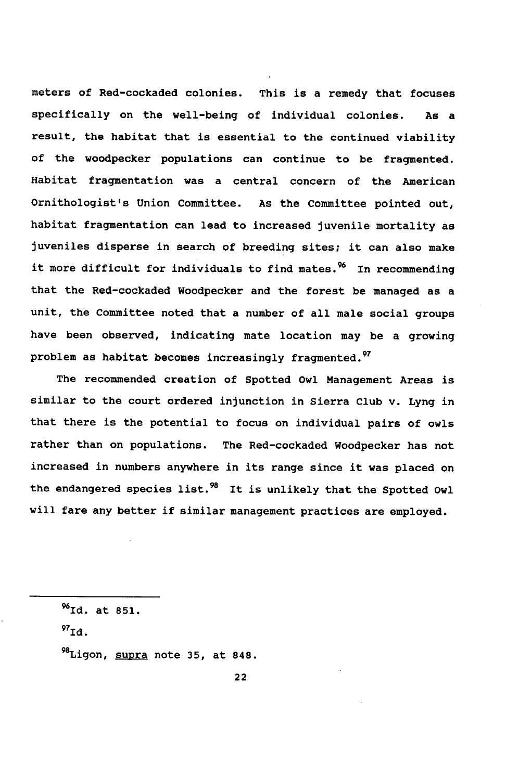meters of Red-cockaded colonies. This is a remedy that focuses specifically on the well-being of individual colonies. As a result, the habitat that is essential to the continued viability of the woodpecker populations can continue to be fragmented. Habitat fragmentation was a central concern of the American Ornithologist's Union Committee. As the Committee pointed out, habitat fragmentation can lead to increased juvenile mortality as juveniles disperse in search of breeding sites; it can also make it more difficult for individuals to find mates.<sup>96</sup> In recommending that the Red-cockaded Woodpecker and the forest be managed as a unit, the Committee noted that a number of all male social groups have been observed, indicating mate location may be a growing problem as habitat becomes increasingly fragmented.<sup>97</sup>

The recommended creation of Spotted Owl Management Areas is similar to the court ordered injunction in Sierra Club v. Lyng in that there is the potential to focus on individual pairs of owls rather than on populations. The Red-cockaded Woodpecker has not increased in numbers anywhere in its range since it was placed on the endangered species list.<sup>98</sup> It is unlikely that the Spotted Owl will fare any better if similar management practices are employed.

MId. at **851.**

**97 id.**

98 Ligon, supra note **35,** at **848.**